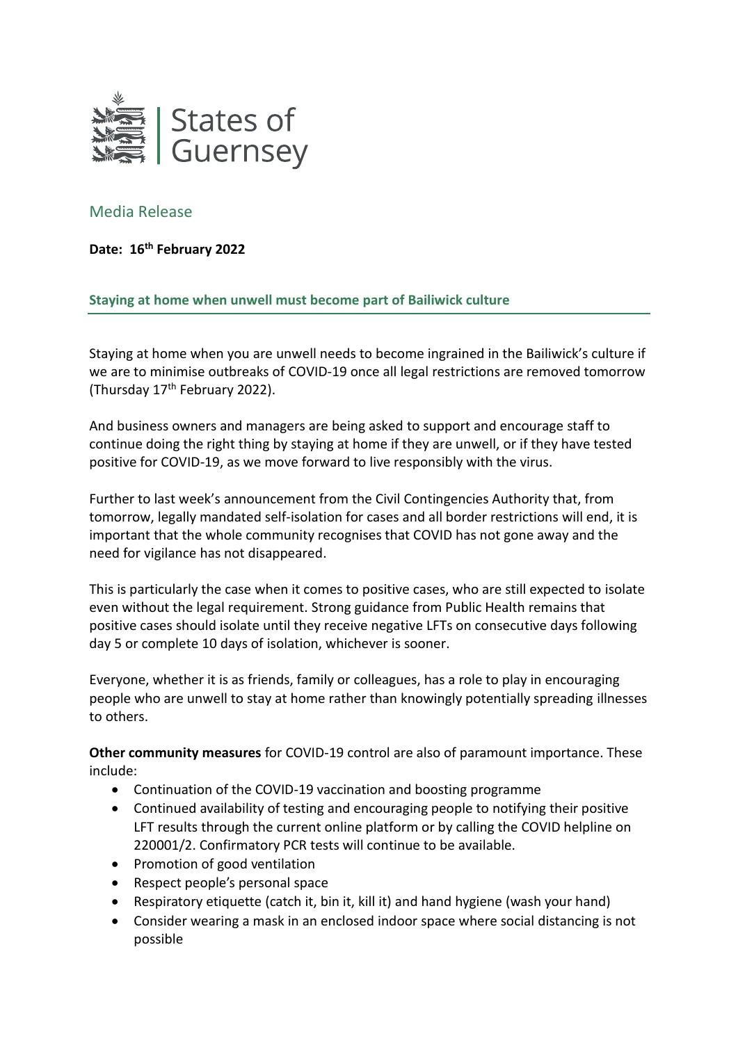

## Media Release

**Date: 16th February 2022**

**Staying at home when unwell must become part of Bailiwick culture**

Staying at home when you are unwell needs to become ingrained in the Bailiwick's culture if we are to minimise outbreaks of COVID-19 once all legal restrictions are removed tomorrow (Thursday 17th February 2022).

And business owners and managers are being asked to support and encourage staff to continue doing the right thing by staying at home if they are unwell, or if they have tested positive for COVID-19, as we move forward to live responsibly with the virus.

Further to last week's announcement from the Civil Contingencies Authority that, from tomorrow, legally mandated self-isolation for cases and all border restrictions will end, it is important that the whole community recognises that COVID has not gone away and the need for vigilance has not disappeared.

This is particularly the case when it comes to positive cases, who are still expected to isolate even without the legal requirement. Strong guidance from Public Health remains that positive cases should isolate until they receive negative LFTs on consecutive days following day 5 or complete 10 days of isolation, whichever is sooner.

Everyone, whether it is as friends, family or colleagues, has a role to play in encouraging people who are unwell to stay at home rather than knowingly potentially spreading illnesses to others.

**Other community measures** for COVID-19 control are also of paramount importance. These include:

- Continuation of the COVID-19 vaccination and boosting programme
- Continued availability of testing and encouraging people to notifying their positive LFT results through the current online platform or by calling the COVID helpline on 220001/2. Confirmatory PCR tests will continue to be available.
- Promotion of good ventilation
- Respect people's personal space
- Respiratory etiquette (catch it, bin it, kill it) and hand hygiene (wash your hand)
- Consider wearing a mask in an enclosed indoor space where social distancing is not possible